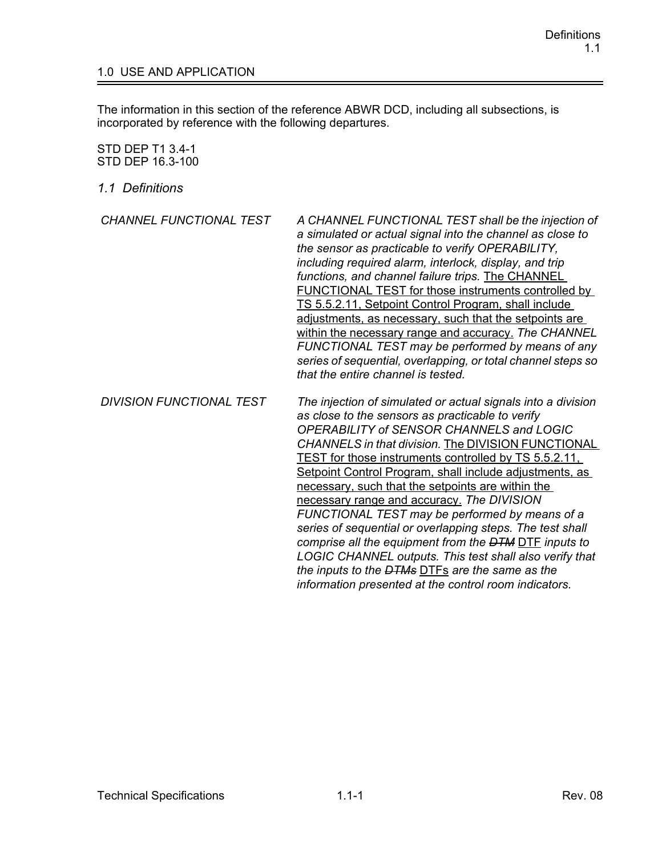## 1.0 USE AND APPLICATION

The information in this section of the reference ABWR DCD, including all subsections, is incorporated by reference with the following departures.

## STD DEP T1 3.4-1 STD DEP 16.3-100

*1.1 Definitions*

| CHANNEL FUNCTIONAL TEST         | A CHANNEL FUNCTIONAL TEST shall be the injection of<br>a simulated or actual signal into the channel as close to<br>the sensor as practicable to verify OPERABILITY,<br>including required alarm, interlock, display, and trip<br>functions, and channel failure trips. The CHANNEL<br>FUNCTIONAL TEST for those instruments controlled by<br>TS 5.5.2.11, Setpoint Control Program, shall include<br>adjustments, as necessary, such that the setpoints are<br>within the necessary range and accuracy. The CHANNEL<br>FUNCTIONAL TEST may be performed by means of any<br>series of sequential, overlapping, or total channel steps so<br>that the entire channel is tested. |
|---------------------------------|--------------------------------------------------------------------------------------------------------------------------------------------------------------------------------------------------------------------------------------------------------------------------------------------------------------------------------------------------------------------------------------------------------------------------------------------------------------------------------------------------------------------------------------------------------------------------------------------------------------------------------------------------------------------------------|
| <b>DIVISION FUNCTIONAL TEST</b> | The injection of simulated or actual signals into a division<br>as close to the sensors as practicable to verify<br>OPERABILITY of SENSOR CHANNELS and LOGIC<br><b>CHANNELS in that division. The DIVISION FUNCTIONAL</b>                                                                                                                                                                                                                                                                                                                                                                                                                                                      |

TEST for those instruments controlled by TS 5.5.2.11, Setpoint Control Program, shall include adjustments, as

*FUNCTIONAL TEST may be performed by means of a series of sequential or overlapping steps. The test shall comprise all the equipment from the DTM* DTF *inputs to LOGIC CHANNEL outputs. This test shall also verify that* 

necessary, such that the setpoints are within the necessary range and accuracy. *The DIVISION* 

*the inputs to the DTMs* DTFs *are the same as the information presented at the control room indicators.*